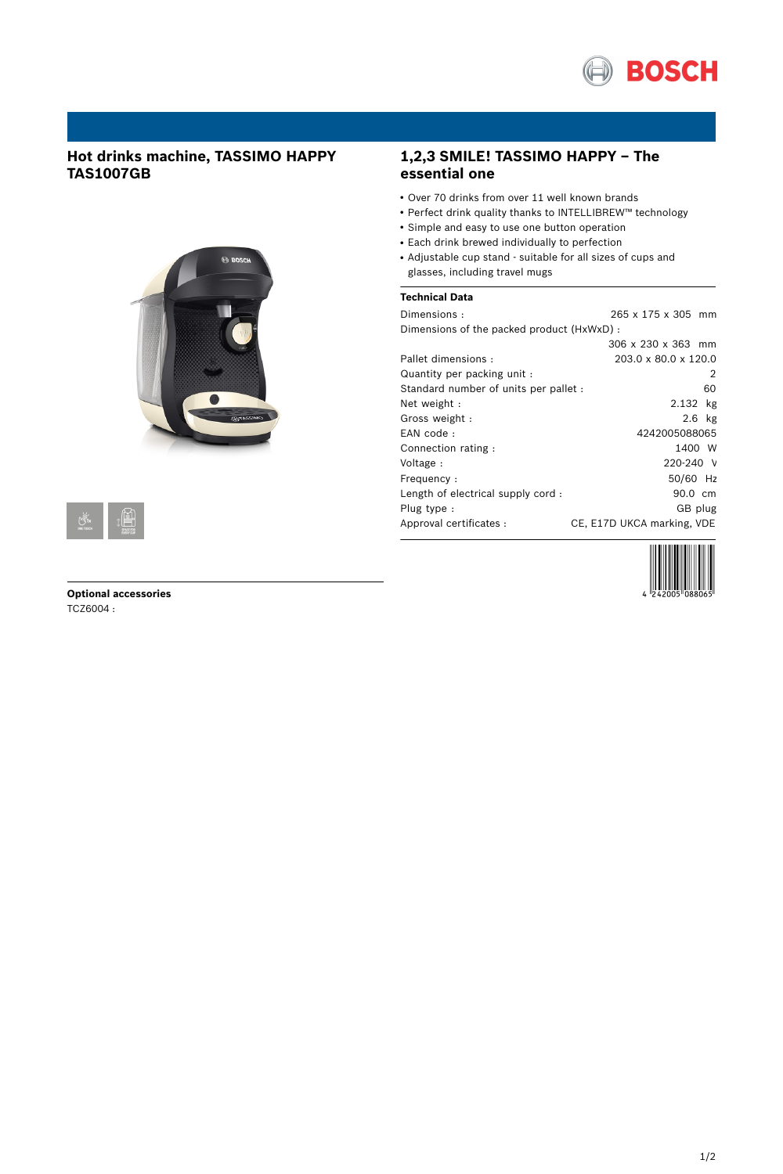

# **Hot drinks machine, TASSIMO HAPPY TAS1007GB**





### **Optional accessories** TCZ6004 :

# **1,2,3 SMILE! TASSIMO HAPPY – The essential one**

- Over 70 drinks from over 11 well known brands
- Perfect drink quality thanks to INTELLIBREW™ technology
- Simple and easy to use one button operation
- Each drink brewed individually to perfection
- Adjustable cup stand suitable for all sizes of cups and glasses, including travel mugs

## **Technical Data**

Dimensions : 265 x 175 x 305 mm Dimensions of the packed product (HxWxD) :

|                                       | 306 x 230 x 363 mm         |
|---------------------------------------|----------------------------|
| Pallet dimensions:                    | 203.0 x 80.0 x 120.0       |
| Quantity per packing unit :           | 2                          |
| Standard number of units per pallet : | 60                         |
| Net weight:                           | 2.132 kg                   |
| Gross weight:                         | $2.6$ kg                   |
| EAN code:                             | 4242005088065              |
| Connection rating:                    | 1400 W                     |
| Voltage:                              | $220 - 240$ V              |
| Frequency:                            | 50/60 Hz                   |
| Length of electrical supply cord:     | 90.0 cm                    |
| Plug type:                            | GB plug                    |
| Approval certificates :               | CE, E17D UKCA marking, VDE |
|                                       |                            |